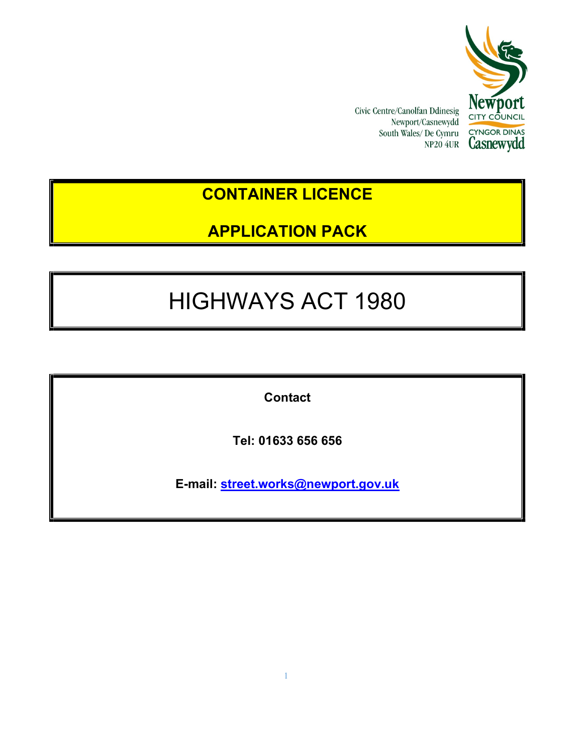

Civic Centre/Canolfan Ddinesig Newport/Casnewydd South Wales/ De Cymru NP20 4UR

# CONTAINER LICENCE

## APPLICATION PACK

# HIGHWAYS ACT 1980

**Contact** 

Tel: 01633 656 656

E-mail: street.works@newport.gov.uk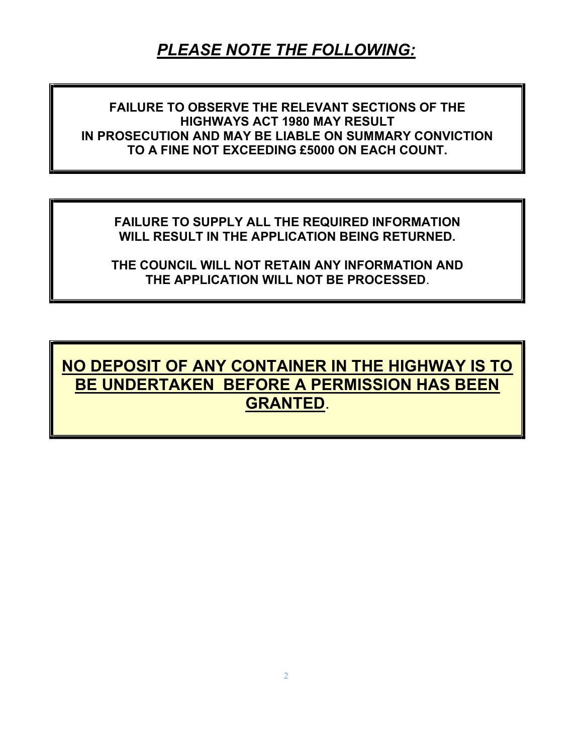## PLEASE NOTE THE FOLLOWING:

FAILURE TO OBSERVE THE RELEVANT SECTIONS OF THE HIGHWAYS ACT 1980 MAY RESULT IN PROSECUTION AND MAY BE LIABLE ON SUMMARY CONVICTION TO A FINE NOT EXCEEDING £5000 ON EACH COUNT.

FAILURE TO SUPPLY ALL THE REQUIRED INFORMATION WILL RESULT IN THE APPLICATION BEING RETURNED.

THE COUNCIL WILL NOT RETAIN ANY INFORMATION AND THE APPLICATION WILL NOT BE PROCESSED.

NO DEPOSIT OF ANY CONTAINER IN THE HIGHWAY IS TO BE UNDERTAKEN BEFORE A PERMISSION HAS BEEN GRANTED.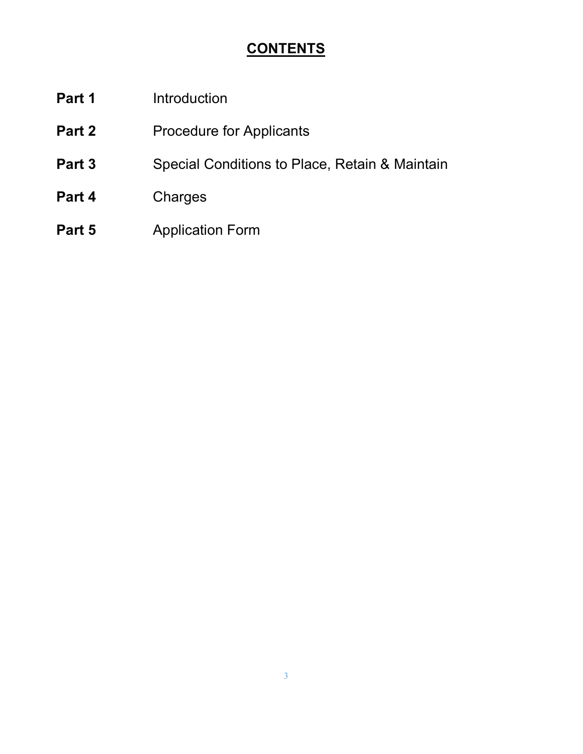## **CONTENTS**

- **Part 1** Introduction
- Part 2 **Procedure for Applicants**
- Part 3 Special Conditions to Place, Retain & Maintain
- Part 4 Charges
- Part 5 Application Form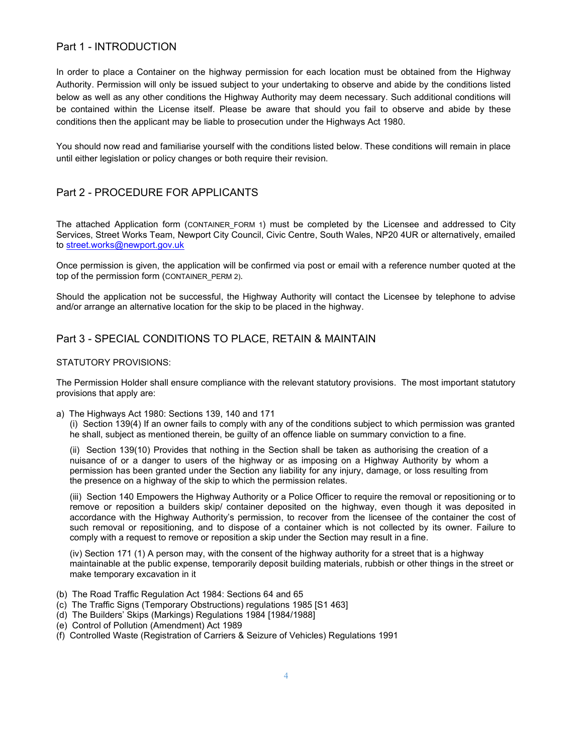#### Part 1 - INTRODUCTION

In order to place a Container on the highway permission for each location must be obtained from the Highway Authority. Permission will only be issued subject to your undertaking to observe and abide by the conditions listed below as well as any other conditions the Highway Authority may deem necessary. Such additional conditions will be contained within the License itself. Please be aware that should you fail to observe and abide by these conditions then the applicant may be liable to prosecution under the Highways Act 1980.

You should now read and familiarise yourself with the conditions listed below. These conditions will remain in place until either legislation or policy changes or both require their revision.

#### Part 2 - PROCEDURE FOR APPLICANTS

The attached Application form (CONTAINER\_FORM 1) must be completed by the Licensee and addressed to City Services, Street Works Team, Newport City Council, Civic Centre, South Wales, NP20 4UR or alternatively, emailed to street.works@newport.gov.uk

Once permission is given, the application will be confirmed via post or email with a reference number quoted at the top of the permission form (CONTAINER\_PERM 2).

Should the application not be successful, the Highway Authority will contact the Licensee by telephone to advise and/or arrange an alternative location for the skip to be placed in the highway.

#### Part 3 - SPECIAL CONDITIONS TO PLACE, RETAIN & MAINTAIN

#### STATUTORY PROVISIONS:

The Permission Holder shall ensure compliance with the relevant statutory provisions. The most important statutory provisions that apply are:

a) The Highways Act 1980: Sections 139, 140 and 171

(i) Section 139(4) If an owner fails to comply with any of the conditions subject to which permission was granted he shall, subject as mentioned therein, be guilty of an offence liable on summary conviction to a fine.

(ii) Section 139(10) Provides that nothing in the Section shall be taken as authorising the creation of a nuisance of or a danger to users of the highway or as imposing on a Highway Authority by whom a permission has been granted under the Section any liability for any injury, damage, or loss resulting from the presence on a highway of the skip to which the permission relates.

(iii) Section 140 Empowers the Highway Authority or a Police Officer to require the removal or repositioning or to remove or reposition a builders skip/ container deposited on the highway, even though it was deposited in accordance with the Highway Authority's permission, to recover from the licensee of the container the cost of such removal or repositioning, and to dispose of a container which is not collected by its owner. Failure to comply with a request to remove or reposition a skip under the Section may result in a fine.

(iv) Section 171 (1) A person may, with the consent of the highway authority for a street that is a highway maintainable at the public expense, temporarily deposit building materials, rubbish or other things in the street or make temporary excavation in it

- (b) The Road Traffic Regulation Act 1984: Sections 64 and 65
- (c) The Traffic Signs (Temporary Obstructions) regulations 1985 [S1 463]
- (d) The Builders' Skips (Markings) Regulations 1984 [1984/1988]
- (e) Control of Pollution (Amendment) Act 1989
- (f) Controlled Waste (Registration of Carriers & Seizure of Vehicles) Regulations 1991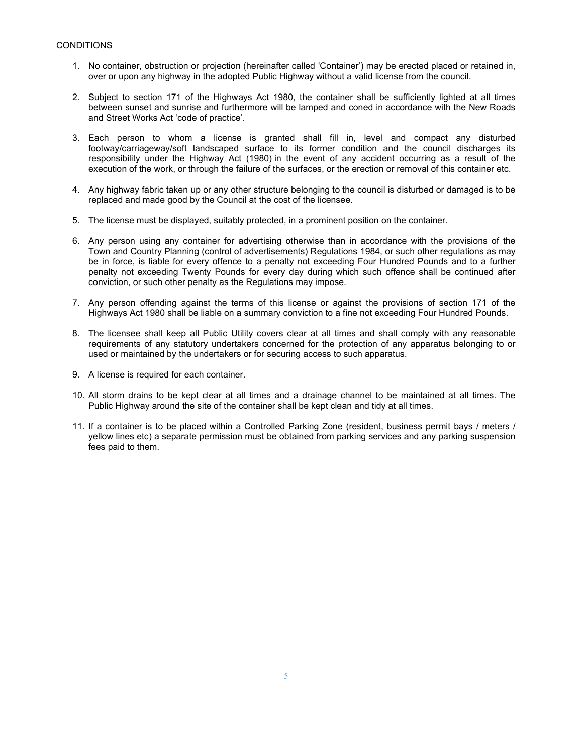#### **CONDITIONS**

- 1. No container, obstruction or projection (hereinafter called 'Container') may be erected placed or retained in, over or upon any highway in the adopted Public Highway without a valid license from the council.
- 2. Subject to section 171 of the Highways Act 1980, the container shall be sufficiently lighted at all times between sunset and sunrise and furthermore will be lamped and coned in accordance with the New Roads and Street Works Act 'code of practice'.
- 3. Each person to whom a license is granted shall fill in, level and compact any disturbed footway/carriageway/soft landscaped surface to its former condition and the council discharges its responsibility under the Highway Act (1980) in the event of any accident occurring as a result of the execution of the work, or through the failure of the surfaces, or the erection or removal of this container etc.
- 4. Any highway fabric taken up or any other structure belonging to the council is disturbed or damaged is to be replaced and made good by the Council at the cost of the licensee.
- 5. The license must be displayed, suitably protected, in a prominent position on the container.
- 6. Any person using any container for advertising otherwise than in accordance with the provisions of the Town and Country Planning (control of advertisements) Regulations 1984, or such other regulations as may be in force, is liable for every offence to a penalty not exceeding Four Hundred Pounds and to a further penalty not exceeding Twenty Pounds for every day during which such offence shall be continued after conviction, or such other penalty as the Regulations may impose.
- 7. Any person offending against the terms of this license or against the provisions of section 171 of the Highways Act 1980 shall be liable on a summary conviction to a fine not exceeding Four Hundred Pounds.
- 8. The licensee shall keep all Public Utility covers clear at all times and shall comply with any reasonable requirements of any statutory undertakers concerned for the protection of any apparatus belonging to or used or maintained by the undertakers or for securing access to such apparatus.
- 9. A license is required for each container.
- 10. All storm drains to be kept clear at all times and a drainage channel to be maintained at all times. The Public Highway around the site of the container shall be kept clean and tidy at all times.
- 11. If a container is to be placed within a Controlled Parking Zone (resident, business permit bays / meters / yellow lines etc) a separate permission must be obtained from parking services and any parking suspension fees paid to them.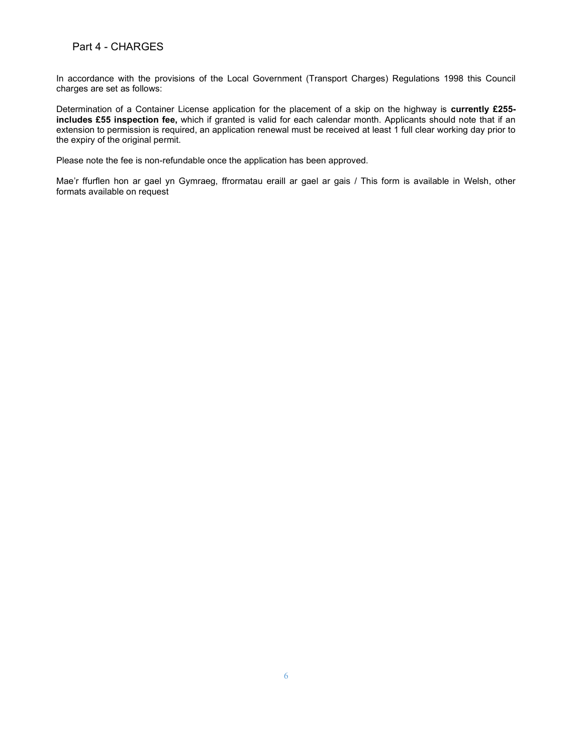#### Part 4 - CHARGES

In accordance with the provisions of the Local Government (Transport Charges) Regulations 1998 this Council charges are set as follows:

Determination of a Container License application for the placement of a skip on the highway is currently £255includes £55 inspection fee, which if granted is valid for each calendar month. Applicants should note that if an extension to permission is required, an application renewal must be received at least 1 full clear working day prior to the expiry of the original permit.

Please note the fee is non-refundable once the application has been approved.

Mae'r ffurflen hon ar gael yn Gymraeg, ffrormatau eraill ar gael ar gais / This form is available in Welsh, other formats available on request